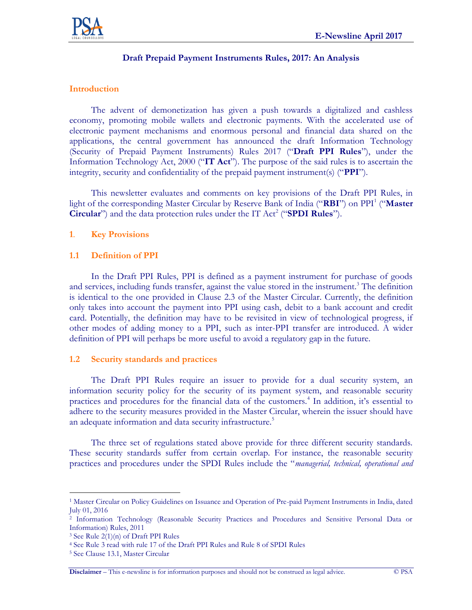

# **Draft Prepaid Payment Instruments Rules, 2017: An Analysis**

## **Introduction**

The advent of demonetization has given a push towards a digitalized and cashless economy, promoting mobile wallets and electronic payments. With the accelerated use of electronic payment mechanisms and enormous personal and financial data shared on the applications, the central government has announced the draft Information Technology (Security of Prepaid Payment Instruments) Rules 2017 ("**Draft PPI Rules**"), under the Information Technology Act, 2000 ("**IT Act**"). The purpose of the said rules is to ascertain the integrity, security and confidentiality of the prepaid payment instrument(s) ("**PPI**").

This newsletter evaluates and comments on key provisions of the Draft PPI Rules, in light of the corresponding Master Circular by Reserve Bank of India ("**RBI**") on PPI<sup>1</sup> ("**Master Circular**") and the data protection rules under the IT Act<sup>2</sup> ("**SPDI Rules**").

## **1**. **Key Provisions**

## **1.1 Definition of PPI**

In the Draft PPI Rules, PPI is defined as a payment instrument for purchase of goods and services, including funds transfer, against the value stored in the instrument.<sup>3</sup> The definition is identical to the one provided in Clause 2.3 of the Master Circular. Currently, the definition only takes into account the payment into PPI using cash, debit to a bank account and credit card. Potentially, the definition may have to be revisited in view of technological progress, if other modes of adding money to a PPI, such as inter-PPI transfer are introduced. A wider definition of PPI will perhaps be more useful to avoid a regulatory gap in the future.

## **1.2 Security standards and practices**

The Draft PPI Rules require an issuer to provide for a dual security system, an information security policy for the security of its payment system, and reasonable security practices and procedures for the financial data of the customers.<sup>4</sup> In addition, it's essential to adhere to the security measures provided in the Master Circular, wherein the issuer should have an adequate information and data security infrastructure.<sup>5</sup>

The three set of regulations stated above provide for three different security standards. These security standards suffer from certain overlap. For instance, the reasonable security practices and procedures under the SPDI Rules include the "*managerial, technical, operational and*

 $\overline{a}$ <sup>1</sup> Master Circular on Policy Guidelines on Issuance and Operation of Pre-paid Payment Instruments in India, dated July 01, 2016

<sup>2</sup> Information Technology (Reasonable Security Practices and Procedures and Sensitive Personal Data or Information) Rules, 2011

<sup>3</sup> See Rule 2(1)(n) of Draft PPI Rules

<sup>4</sup> See Rule 3 read with rule 17 of the Draft PPI Rules and Rule 8 of SPDI Rules

<sup>5</sup> See Clause 13.1, Master Circular

**Disclaimer** – This e-newsline is for information purposes and should not be construed as legal advice. © PSA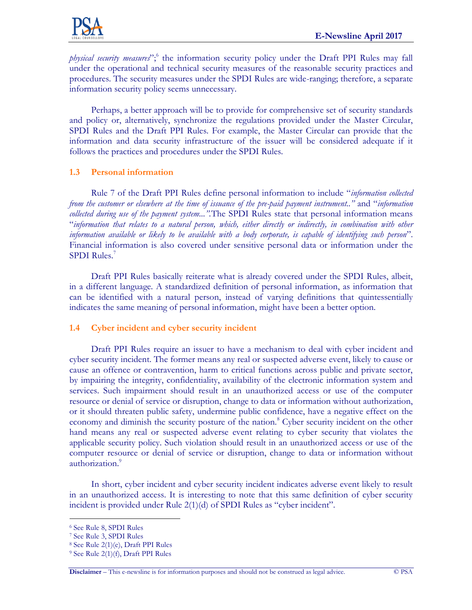

*physical security measures*";<sup>6</sup> the information security policy under the Draft PPI Rules may fall under the operational and technical security measures of the reasonable security practices and procedures. The security measures under the SPDI Rules are wide-ranging; therefore, a separate information security policy seems unnecessary.

Perhaps, a better approach will be to provide for comprehensive set of security standards and policy or, alternatively, synchronize the regulations provided under the Master Circular, SPDI Rules and the Draft PPI Rules. For example, the Master Circular can provide that the information and data security infrastructure of the issuer will be considered adequate if it follows the practices and procedures under the SPDI Rules.

# **1.3 Personal information**

Rule 7 of the Draft PPI Rules define personal information to include "*information collected from the customer or elsewhere at the time of issuance of the pre-paid payment instrument.."* and "*information collected during use of the payment system...".*The SPDI Rules state that personal information means "*information that relates to a natural person, which, either directly or indirectly, in combination with other information available or likely to be available with a body corporate, is capable of identifying such person*". Financial information is also covered under sensitive personal data or information under the SPDI Rules.<sup>7</sup>

Draft PPI Rules basically reiterate what is already covered under the SPDI Rules, albeit, in a different language. A standardized definition of personal information, as information that can be identified with a natural person, instead of varying definitions that quintessentially indicates the same meaning of personal information, might have been a better option.

# **1.4 Cyber incident and cyber security incident**

Draft PPI Rules require an issuer to have a mechanism to deal with cyber incident and cyber security incident. The former means any real or suspected adverse event, likely to cause or cause an offence or contravention, harm to critical functions across public and private sector, by impairing the integrity, confidentiality, availability of the electronic information system and services. Such impairment should result in an unauthorized access or use of the computer resource or denial of service or disruption, change to data or information without authorization, or it should threaten public safety, undermine public confidence, have a negative effect on the economy and diminish the security posture of the nation.<sup>8</sup> Cyber security incident on the other hand means any real or suspected adverse event relating to cyber security that violates the applicable security policy. Such violation should result in an unauthorized access or use of the computer resource or denial of service or disruption, change to data or information without authorization.<sup>9</sup>

In short, cyber incident and cyber security incident indicates adverse event likely to result in an unauthorized access. It is interesting to note that this same definition of cyber security incident is provided under Rule 2(1)(d) of SPDI Rules as "cyber incident".

 $\overline{a}$ 

<sup>6</sup> See Rule 8, SPDI Rules

<sup>7</sup> See Rule 3, SPDI Rules

<sup>8</sup> See Rule 2(1)(e), Draft PPI Rules

<sup>9</sup> See Rule 2(1)(f), Draft PPI Rules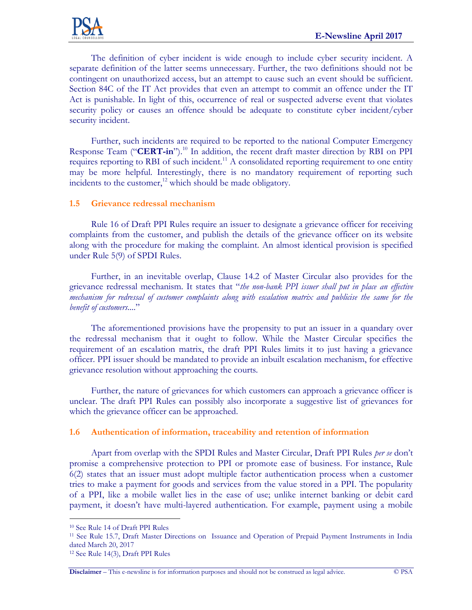

The definition of cyber incident is wide enough to include cyber security incident. A separate definition of the latter seems unnecessary. Further, the two definitions should not be contingent on unauthorized access, but an attempt to cause such an event should be sufficient. Section 84C of the IT Act provides that even an attempt to commit an offence under the IT Act is punishable. In light of this, occurrence of real or suspected adverse event that violates security policy or causes an offence should be adequate to constitute cyber incident/cyber security incident.

Further, such incidents are required to be reported to the national Computer Emergency Response Team ("**CERT-in**").<sup>10</sup> In addition, the recent draft master direction by RBI on PPI requires reporting to RBI of such incident.<sup>11</sup> A consolidated reporting requirement to one entity may be more helpful. Interestingly, there is no mandatory requirement of reporting such incidents to the customer,<sup>12</sup> which should be made obligatory.

## **1.5 Grievance redressal mechanism**

Rule 16 of Draft PPI Rules require an issuer to designate a grievance officer for receiving complaints from the customer, and publish the details of the grievance officer on its website along with the procedure for making the complaint. An almost identical provision is specified under Rule 5(9) of SPDI Rules.

Further, in an inevitable overlap, Clause 14.2 of Master Circular also provides for the grievance redressal mechanism. It states that "*the non-bank PPI issuer shall put in place an effective mechanism for redressal of customer complaints along with escalation matrix and publicise the same for the benefit of customers...*"

The aforementioned provisions have the propensity to put an issuer in a quandary over the redressal mechanism that it ought to follow. While the Master Circular specifies the requirement of an escalation matrix, the draft PPI Rules limits it to just having a grievance officer. PPI issuer should be mandated to provide an inbuilt escalation mechanism, for effective grievance resolution without approaching the courts.

Further, the nature of grievances for which customers can approach a grievance officer is unclear. The draft PPI Rules can possibly also incorporate a suggestive list of grievances for which the grievance officer can be approached.

## **1.6 Authentication of information, traceability and retention of information**

Apart from overlap with the SPDI Rules and Master Circular, Draft PPI Rules *per se* don't promise a comprehensive protection to PPI or promote ease of business. For instance, Rule 6(2) states that an issuer must adopt multiple factor authentication process when a customer tries to make a payment for goods and services from the value stored in a PPI. The popularity of a PPI, like a mobile wallet lies in the ease of use; unlike internet banking or debit card payment, it doesn't have multi-layered authentication. For example, payment using a mobile

 $\overline{a}$ 

<sup>10</sup> See Rule 14 of Draft PPI Rules

<sup>11</sup> See Rule 15.7, Draft Master Directions on Issuance and Operation of Prepaid Payment Instruments in India dated March 20, 2017

<sup>12</sup> See Rule 14(3), Draft PPI Rules